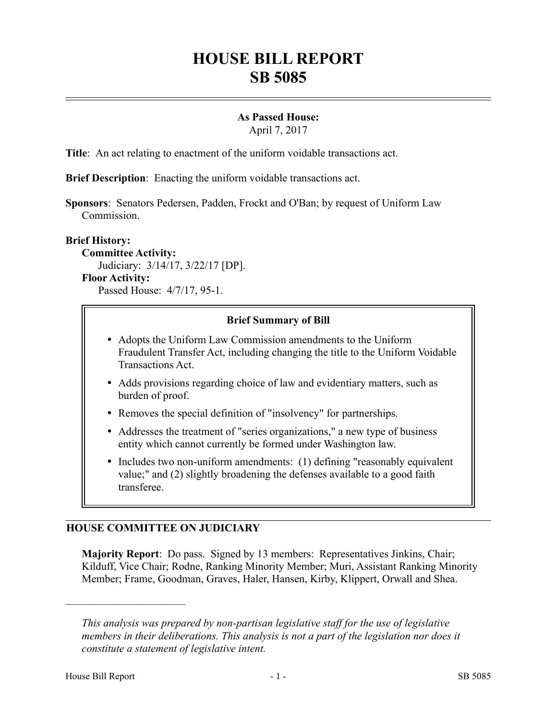# **HOUSE BILL REPORT SB 5085**

# **As Passed House:**

April 7, 2017

**Title**: An act relating to enactment of the uniform voidable transactions act.

**Brief Description**: Enacting the uniform voidable transactions act.

**Sponsors**: Senators Pedersen, Padden, Frockt and O'Ban; by request of Uniform Law Commission.

#### **Brief History:**

**Committee Activity:** Judiciary: 3/14/17, 3/22/17 [DP]. **Floor Activity:** Passed House: 4/7/17, 95-1.

## **Brief Summary of Bill**

- Adopts the Uniform Law Commission amendments to the Uniform Fraudulent Transfer Act, including changing the title to the Uniform Voidable Transactions Act.
- Adds provisions regarding choice of law and evidentiary matters, such as burden of proof.
- Removes the special definition of "insolvency" for partnerships.
- Addresses the treatment of "series organizations," a new type of business entity which cannot currently be formed under Washington law.
- Includes two non-uniform amendments: (1) defining "reasonably equivalent value;" and (2) slightly broadening the defenses available to a good faith transferee.

# **HOUSE COMMITTEE ON JUDICIARY**

**Majority Report**: Do pass. Signed by 13 members: Representatives Jinkins, Chair; Kilduff, Vice Chair; Rodne, Ranking Minority Member; Muri, Assistant Ranking Minority Member; Frame, Goodman, Graves, Haler, Hansen, Kirby, Klippert, Orwall and Shea.

––––––––––––––––––––––

*This analysis was prepared by non-partisan legislative staff for the use of legislative members in their deliberations. This analysis is not a part of the legislation nor does it constitute a statement of legislative intent.*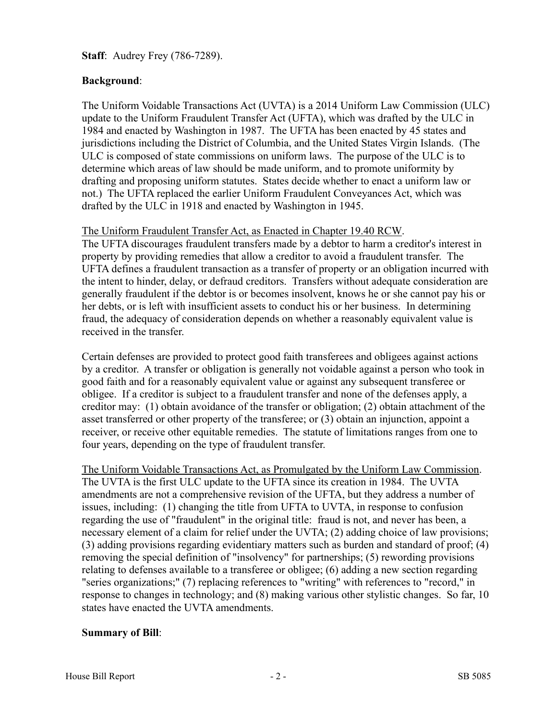**Staff**: Audrey Frey (786-7289).

# **Background**:

The Uniform Voidable Transactions Act (UVTA) is a 2014 Uniform Law Commission (ULC) update to the Uniform Fraudulent Transfer Act (UFTA), which was drafted by the ULC in 1984 and enacted by Washington in 1987. The UFTA has been enacted by 45 states and jurisdictions including the District of Columbia, and the United States Virgin Islands. (The ULC is composed of state commissions on uniform laws. The purpose of the ULC is to determine which areas of law should be made uniform, and to promote uniformity by drafting and proposing uniform statutes. States decide whether to enact a uniform law or not.) The UFTA replaced the earlier Uniform Fraudulent Conveyances Act, which was drafted by the ULC in 1918 and enacted by Washington in 1945.

#### The Uniform Fraudulent Transfer Act, as Enacted in Chapter 19.40 RCW.

The UFTA discourages fraudulent transfers made by a debtor to harm a creditor's interest in property by providing remedies that allow a creditor to avoid a fraudulent transfer. The UFTA defines a fraudulent transaction as a transfer of property or an obligation incurred with the intent to hinder, delay, or defraud creditors. Transfers without adequate consideration are generally fraudulent if the debtor is or becomes insolvent, knows he or she cannot pay his or her debts, or is left with insufficient assets to conduct his or her business. In determining fraud, the adequacy of consideration depends on whether a reasonably equivalent value is received in the transfer.

Certain defenses are provided to protect good faith transferees and obligees against actions by a creditor. A transfer or obligation is generally not voidable against a person who took in good faith and for a reasonably equivalent value or against any subsequent transferee or obligee. If a creditor is subject to a fraudulent transfer and none of the defenses apply, a creditor may: (1) obtain avoidance of the transfer or obligation; (2) obtain attachment of the asset transferred or other property of the transferee; or (3) obtain an injunction, appoint a receiver, or receive other equitable remedies. The statute of limitations ranges from one to four years, depending on the type of fraudulent transfer.

The Uniform Voidable Transactions Act, as Promulgated by the Uniform Law Commission. The UVTA is the first ULC update to the UFTA since its creation in 1984. The UVTA amendments are not a comprehensive revision of the UFTA, but they address a number of issues, including: (1) changing the title from UFTA to UVTA, in response to confusion regarding the use of "fraudulent" in the original title: fraud is not, and never has been, a necessary element of a claim for relief under the UVTA; (2) adding choice of law provisions; (3) adding provisions regarding evidentiary matters such as burden and standard of proof; (4) removing the special definition of "insolvency" for partnerships; (5) rewording provisions relating to defenses available to a transferee or obligee; (6) adding a new section regarding "series organizations;" (7) replacing references to "writing" with references to "record," in response to changes in technology; and (8) making various other stylistic changes. So far, 10 states have enacted the UVTA amendments.

# **Summary of Bill**: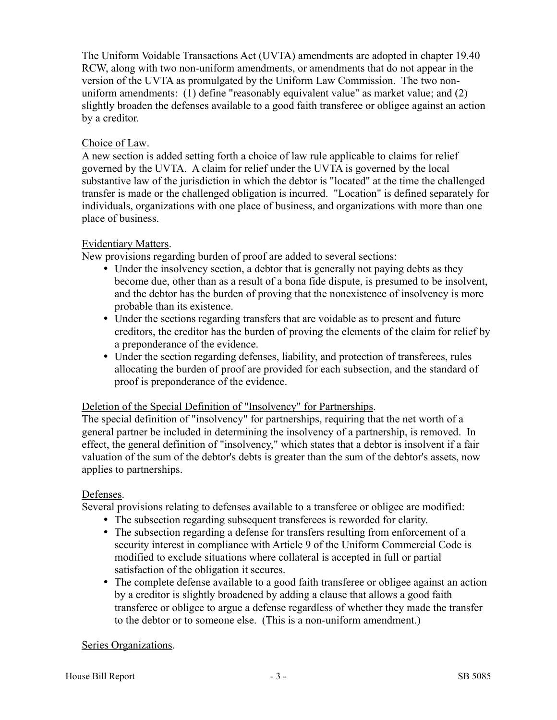The Uniform Voidable Transactions Act (UVTA) amendments are adopted in chapter 19.40 RCW, along with two non-uniform amendments, or amendments that do not appear in the version of the UVTA as promulgated by the Uniform Law Commission. The two nonuniform amendments: (1) define "reasonably equivalent value" as market value; and (2) slightly broaden the defenses available to a good faith transferee or obligee against an action by a creditor.

## Choice of Law.

A new section is added setting forth a choice of law rule applicable to claims for relief governed by the UVTA. A claim for relief under the UVTA is governed by the local substantive law of the jurisdiction in which the debtor is "located" at the time the challenged transfer is made or the challenged obligation is incurred. "Location" is defined separately for individuals, organizations with one place of business, and organizations with more than one place of business.

#### Evidentiary Matters.

New provisions regarding burden of proof are added to several sections:

- Under the insolvency section, a debtor that is generally not paying debts as they become due, other than as a result of a bona fide dispute, is presumed to be insolvent, and the debtor has the burden of proving that the nonexistence of insolvency is more probable than its existence.
- Under the sections regarding transfers that are voidable as to present and future creditors, the creditor has the burden of proving the elements of the claim for relief by a preponderance of the evidence.
- Under the section regarding defenses, liability, and protection of transferees, rules allocating the burden of proof are provided for each subsection, and the standard of proof is preponderance of the evidence.

# Deletion of the Special Definition of "Insolvency" for Partnerships.

The special definition of "insolvency" for partnerships, requiring that the net worth of a general partner be included in determining the insolvency of a partnership, is removed. In effect, the general definition of "insolvency," which states that a debtor is insolvent if a fair valuation of the sum of the debtor's debts is greater than the sum of the debtor's assets, now applies to partnerships.

# Defenses.

Several provisions relating to defenses available to a transferee or obligee are modified:

- The subsection regarding subsequent transferees is reworded for clarity.
- The subsection regarding a defense for transfers resulting from enforcement of a security interest in compliance with Article 9 of the Uniform Commercial Code is modified to exclude situations where collateral is accepted in full or partial satisfaction of the obligation it secures.
- The complete defense available to a good faith transferee or obligee against an action by a creditor is slightly broadened by adding a clause that allows a good faith transferee or obligee to argue a defense regardless of whether they made the transfer to the debtor or to someone else. (This is a non-uniform amendment.)

#### Series Organizations.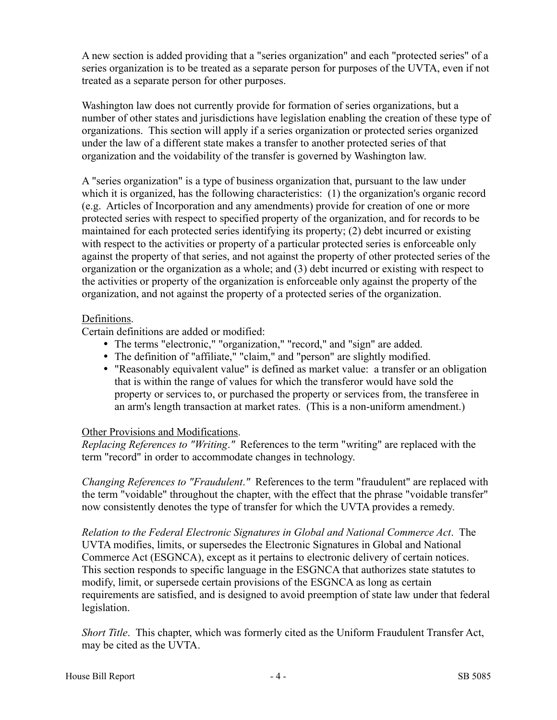A new section is added providing that a "series organization" and each "protected series" of a series organization is to be treated as a separate person for purposes of the UVTA, even if not treated as a separate person for other purposes.

Washington law does not currently provide for formation of series organizations, but a number of other states and jurisdictions have legislation enabling the creation of these type of organizations. This section will apply if a series organization or protected series organized under the law of a different state makes a transfer to another protected series of that organization and the voidability of the transfer is governed by Washington law.

A "series organization" is a type of business organization that, pursuant to the law under which it is organized, has the following characteristics: (1) the organization's organic record (e.g. Articles of Incorporation and any amendments) provide for creation of one or more protected series with respect to specified property of the organization, and for records to be maintained for each protected series identifying its property; (2) debt incurred or existing with respect to the activities or property of a particular protected series is enforceable only against the property of that series, and not against the property of other protected series of the organization or the organization as a whole; and (3) debt incurred or existing with respect to the activities or property of the organization is enforceable only against the property of the organization, and not against the property of a protected series of the organization.

## Definitions.

Certain definitions are added or modified:

- The terms "electronic," "organization," "record," and "sign" are added.
- The definition of "affiliate," "claim," and "person" are slightly modified.
- "Reasonably equivalent value" is defined as market value: a transfer or an obligation that is within the range of values for which the transferor would have sold the property or services to, or purchased the property or services from, the transferee in an arm's length transaction at market rates. (This is a non-uniform amendment.)

# Other Provisions and Modifications.

*Replacing References to "Writing*.*"* References to the term "writing" are replaced with the term "record" in order to accommodate changes in technology.

*Changing References to "Fraudulent*.*"* References to the term "fraudulent" are replaced with the term "voidable" throughout the chapter, with the effect that the phrase "voidable transfer" now consistently denotes the type of transfer for which the UVTA provides a remedy.

*Relation to the Federal Electronic Signatures in Global and National Commerce Act*. The UVTA modifies, limits, or supersedes the Electronic Signatures in Global and National Commerce Act (ESGNCA), except as it pertains to electronic delivery of certain notices. This section responds to specific language in the ESGNCA that authorizes state statutes to modify, limit, or supersede certain provisions of the ESGNCA as long as certain requirements are satisfied, and is designed to avoid preemption of state law under that federal legislation.

*Short Title*. This chapter, which was formerly cited as the Uniform Fraudulent Transfer Act, may be cited as the UVTA.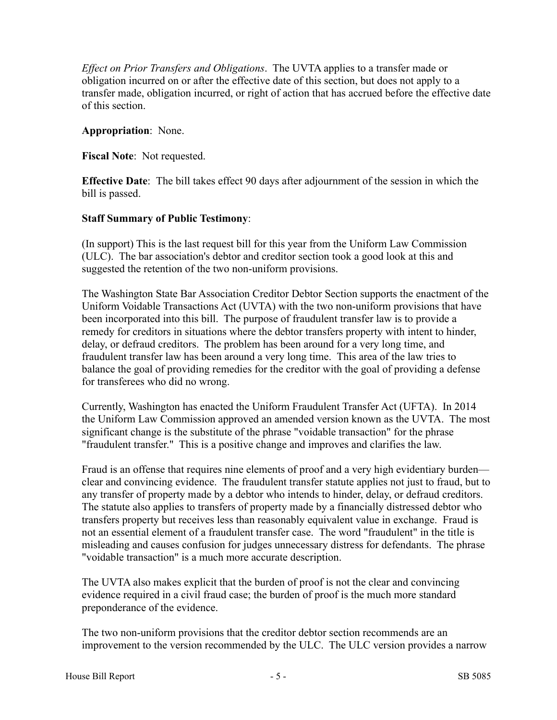*Effect on Prior Transfers and Obligations*. The UVTA applies to a transfer made or obligation incurred on or after the effective date of this section, but does not apply to a transfer made, obligation incurred, or right of action that has accrued before the effective date of this section.

## **Appropriation**: None.

**Fiscal Note**: Not requested.

**Effective Date**: The bill takes effect 90 days after adjournment of the session in which the bill is passed.

## **Staff Summary of Public Testimony**:

(In support) This is the last request bill for this year from the Uniform Law Commission (ULC). The bar association's debtor and creditor section took a good look at this and suggested the retention of the two non-uniform provisions.

The Washington State Bar Association Creditor Debtor Section supports the enactment of the Uniform Voidable Transactions Act (UVTA) with the two non-uniform provisions that have been incorporated into this bill. The purpose of fraudulent transfer law is to provide a remedy for creditors in situations where the debtor transfers property with intent to hinder, delay, or defraud creditors. The problem has been around for a very long time, and fraudulent transfer law has been around a very long time. This area of the law tries to balance the goal of providing remedies for the creditor with the goal of providing a defense for transferees who did no wrong.

Currently, Washington has enacted the Uniform Fraudulent Transfer Act (UFTA). In 2014 the Uniform Law Commission approved an amended version known as the UVTA. The most significant change is the substitute of the phrase "voidable transaction" for the phrase "fraudulent transfer." This is a positive change and improves and clarifies the law.

Fraud is an offense that requires nine elements of proof and a very high evidentiary burden clear and convincing evidence. The fraudulent transfer statute applies not just to fraud, but to any transfer of property made by a debtor who intends to hinder, delay, or defraud creditors. The statute also applies to transfers of property made by a financially distressed debtor who transfers property but receives less than reasonably equivalent value in exchange. Fraud is not an essential element of a fraudulent transfer case. The word "fraudulent" in the title is misleading and causes confusion for judges unnecessary distress for defendants. The phrase "voidable transaction" is a much more accurate description.

The UVTA also makes explicit that the burden of proof is not the clear and convincing evidence required in a civil fraud case; the burden of proof is the much more standard preponderance of the evidence.

The two non-uniform provisions that the creditor debtor section recommends are an improvement to the version recommended by the ULC. The ULC version provides a narrow